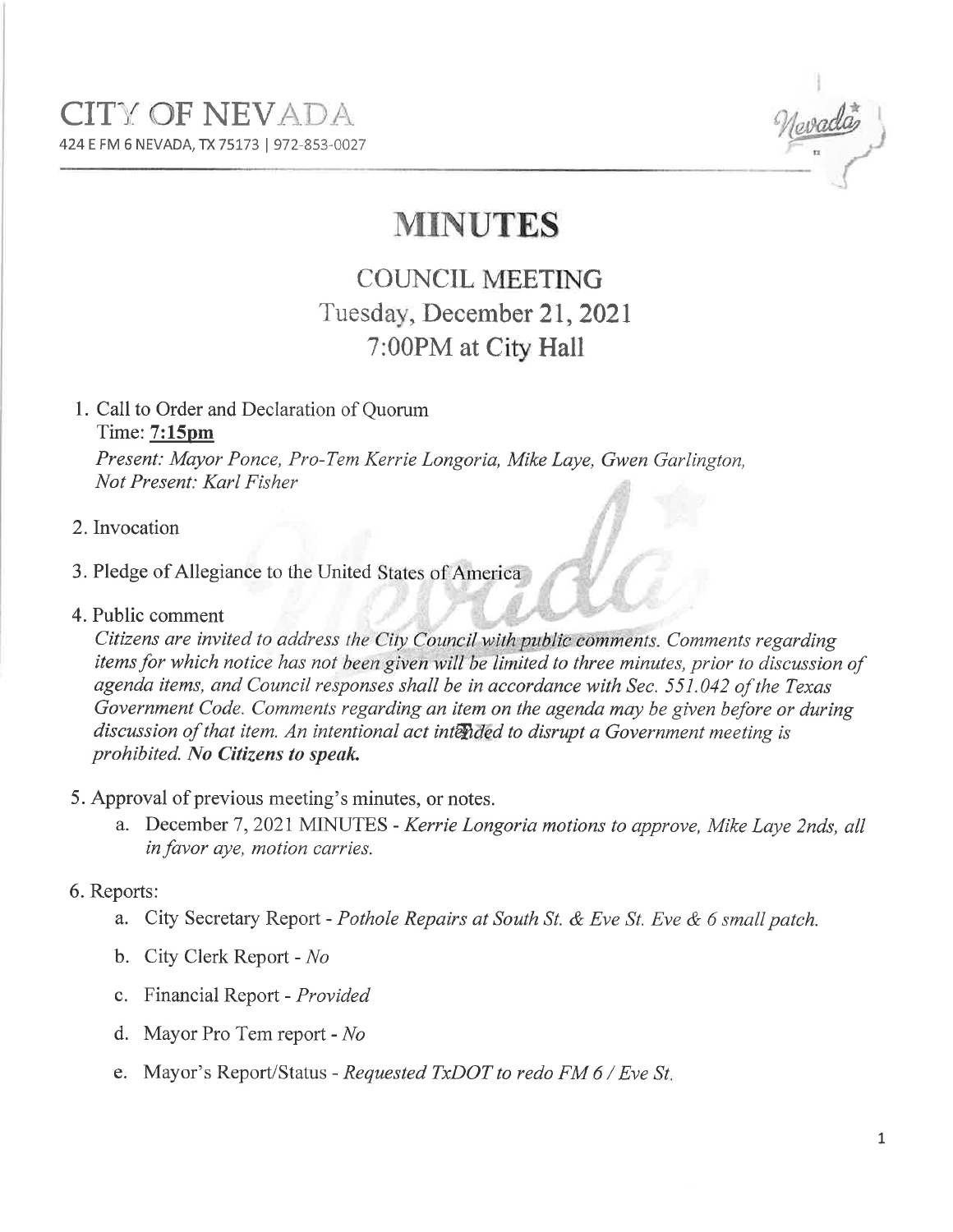

# MINUTES

# COUNCIL MEETING Tuesday, December 21, 2021 7:00PM at City Hall

1. Call to Order and Declaration of Quorum Time: 7:15pm

Present: Mayor Ponce, Pro-Tem Kerríe Longoría, Míke Laye, Gwen Garlington, Not Present: Karl Físher

- 2. Invocation
- 3. Pledge of Allegiance to the United
- 4. Public comment

Citizens are invited to address the City Council with public comments. Comments regarding items for which notice has not been given will be limited to three minutes, prior to discussion of agenda items, and Council responses shall be in accordance wíth Sec. 551.042 of the Texas Government Code. Comments regarding an item on the agenda may be given before or duríng discussion of that item. An intentional act intended to disrupt a Government meeting is prohibited. No Citizens to speak.

- 5. Approval of previous meeting's minutes, or notes.
	- a. December 7, 2021 MINUTES Kerrie Longoria motions to approve, Mike Laye 2nds, all in favor aye, motion carries.

## 6. Reports:

- a. City Secretary Report Pothole Repairs at South St. & Eve St. Eve & 6 small patch.
- b. City Clerk Report No
- c. Financial Report Provided
- d. Mayor Pro Tem report No
- e. Mayor's Report/Status Requested TxDOT to redo FM 6 / Eve St.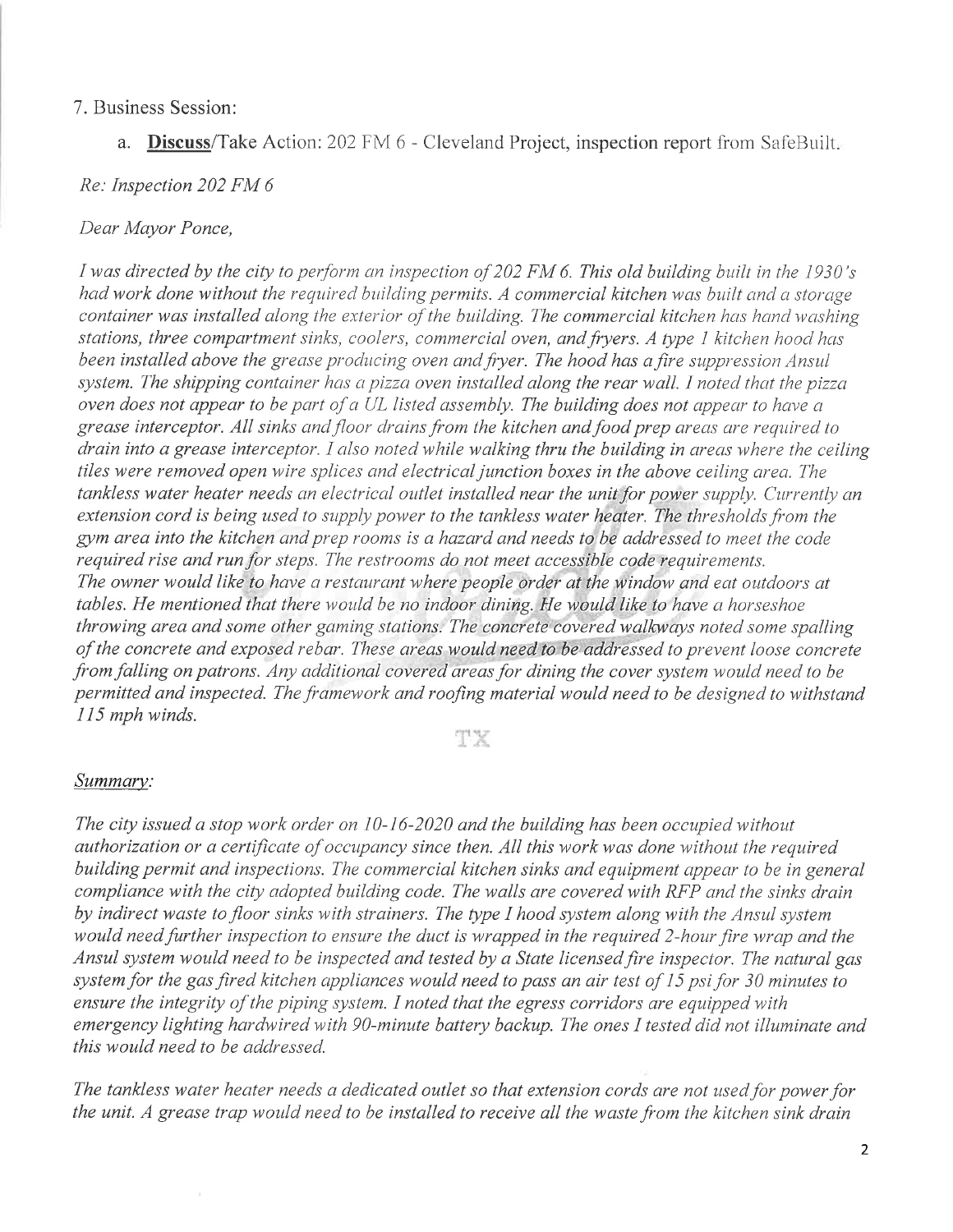#### 7. Business Session:

a. Discuss/Take Action: 202 FM 6 - Cleveland Project, inspection report from SafeBuilt.

#### Re: Inspection 202 FM 6

#### Dear Mayor Ponce,

I was directed by the city to perform an inspection of 202 FM 6. This old building built in the 1930's had work done without the required building permits. A commercial kitchen was built and a storage container was installed along the exterior of the building. The commercial kitchen has hand washing stations, three compartment sinks, coolers, commercial oven, and fryers. A type 1 kitchen hood has been installed above the grease producing oven and fryer. The hood has a fire suppression Ansul system. The shipping container has a pizza oven installed along the rear wall. I noted that the pizza oven does not appear to be part of a UL listed assembly. The building does not appear to have a grease interceptor. All sinks and floor drains from the kitchen and food prep areas are required to drain into a grease interceptor. I also noted while walking thru the building in areas where the ceiling tiles were removed open wire splices and electrical junction boxes in the above ceiling area. The tankless water heater needs an electrical outlet installed near the unit for power supply. Currently an extension cord is being used to supply power to the tankless water heater. The thresholds from the gym area into the kitchen and prep rooms is a hazard and needs to be addressed to meet the code required rise and run for steps. The restrooms do not meet accessible code requirements. The owner would like to have a restaurant where people order at the window and eat outdoors at tables. He mentioned that there would be no indoor dining. He would like to have a horseshoe throwing area and some other gaming stations. The concrete covered walkways noted some spalling ofthe concrete and exposed rebar. These areas would need to be addressed to prevent loose concrete from falling on patrons. Any additional covered areas for dining the cover system would need to be permitted and inspected. The framework and roofing material would need to be designed to withstand 115 mph winds.

#### TX

#### Summary:

The city issued a stop work order on  $10-16-2020$  and the building has been occupied without authorization or a certificate of occupancy since then. All this work was done without the required buildíng permit and inspections. The commercial kitchen sinks and equipment appear to be in general compliance with the city adopted building code. The walls are covered with RFP and the sinks drain by indirect waste to floor sinks with strainers. The type I hood system along with the Ansul system would need further inspection to ensure the duct is wrapped in the required 2-hour fire wrap and the Ansul system would need to be inspected and tested by a State licensed fire inspector. The natural gas system for the gas fired kitchen appliances would need to pass an air test of 15 psi for 30 minutes to ensure the integrity of the piping system. I noted that the egress corridors are equipped with emergency lighting hardwired with 90-minute battery backup. The ones I tested did not illuminate and this would need to be addressed.

The tankless water heater needs a dedicated outlet so that extension cords are not used for power for the unit. A grease trap would need to be installed to receive all the waste from the kitchen sink drain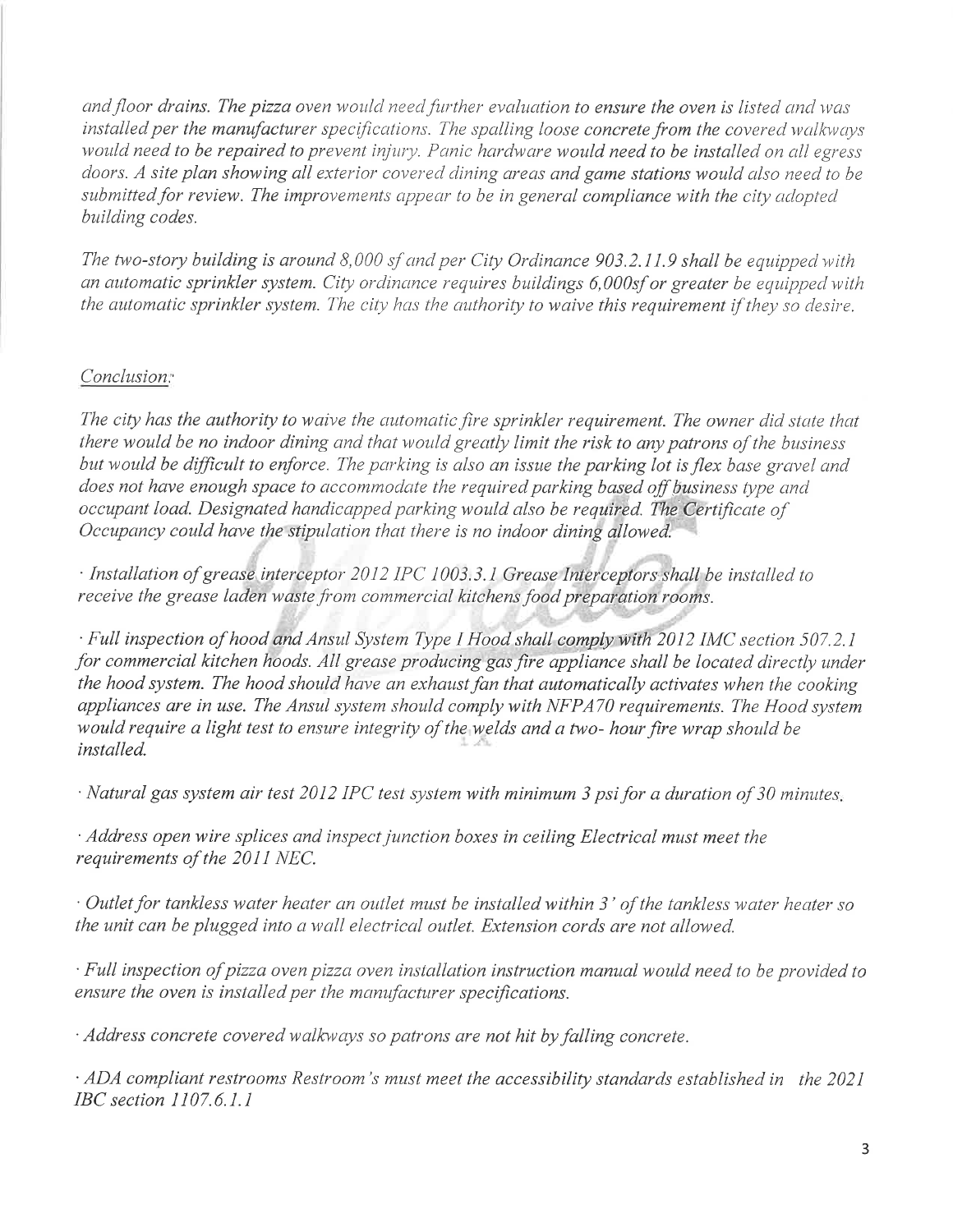and floor drains. The pizza oven would need further evaluation to ensure the oven is listed and was installed per the manufacturer specifications. The spalling loose concrete from the covered walkways would need to be repaired to prevent injury. Panic hardware would need to be installed on all egress doors. A site plan showing all exterior covered dining areas and game stations would also need to be submitted for review. The improvements appear to be in general compliance with the city adopted building codes.

The two-story building is around  $8,000$  sf and per City Ordinance 903.2.11.9 shall be equipped with an automatic sprinkler system. City ordinance requires buildings 6,000sf or greater be equipped with the automatic sprinkler system. The city has the authority to waive this requirement if they so desire.

### Conclusion:

The city has the authority to waive the automatic fire sprinkler requirement. The owner did state that there would be no indoor dining and that would greatly limit the risk to any patrons of the business but would be difficult to enforce. The parking is also an issue the parking lot is flex base gravel and does not have enough space to accommodate the required parking based off business type and occupant load. Designated handicapped parking would also be required. The Certificate of Occupancy could have the stipulatìon that there is no indoor dining allowed.

 $\cdot$  Installation of grease interceptor 2012 IPC 1003.3.1 Grease Interceptors shall be installed to receive the grease laden waste from commercial kitchens food preparation rooms.

. Full inspection of hood and Ansul System Type I Hood shall comply with 2012 IMC section 507.2.1 for commercial kitchen hoods. All grease producing gas fire appliance shall be located directly under the hood system. The hood should have an exhaust fan that automatically activates when the cooking appliances are in use. The Ansul system should comply with NFPA70 requirements. The Hood system would require a light test to ensure integrity of the welds and a two- hour fire wrap should be installed.

 $\cdot$  Natural gas system air test 2012 IPC test system with minimum 3 psi for a duration of 30 minutes.

' Address open wire splices and inspect junction boxes in ceiling Electrical must meet the requirements of the 2011 NEC.

 $\cdot$  Outlet for tankless water heater an outlet must be installed within 3' of the tankless water heater so the unit can be plugged into a wall electrical outlet. Extension cords are not allowed.

 $\cdot$  Full inspection of pizza oven pizza oven installation instruction manual would need to be provided to ensure the oven is installed per the manufacturer specifications.

 $\cdot$  Address concrete covered walkways so patrons are not hit by falling concrete.

 $\cdot$  ADA compliant restrooms Restroom's must meet the accessibility standards established in the 2021 IBC section I107.6.1.1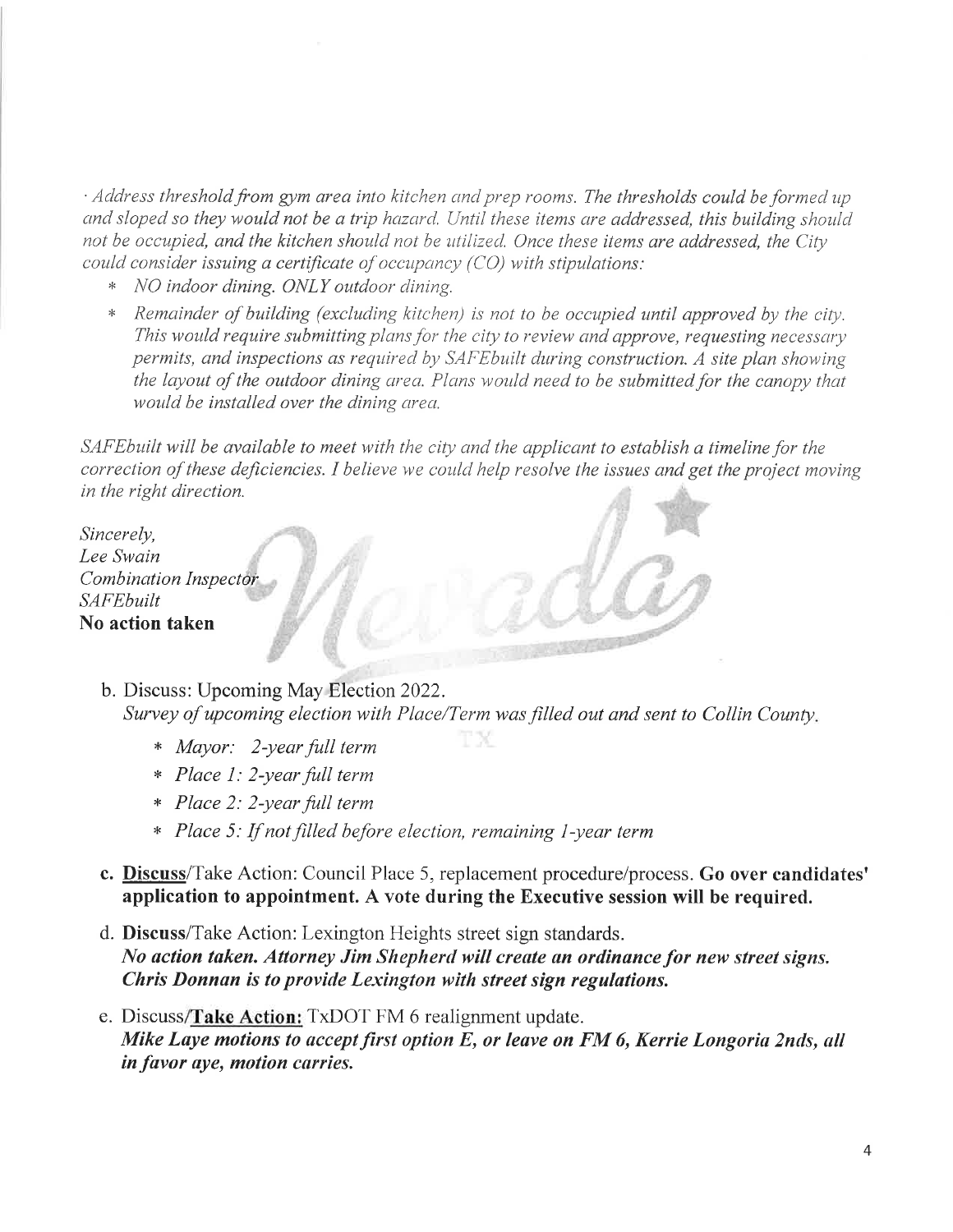$\cdot$  Address threshold from gym area into kitchen and prep rooms. The thresholds could be formed up and sloped so they would not be a trip hazard. Until these items are addressed, this building should not be occupied, and the kitchen should not be utilized. Once these items are addressed, the City could consider issuing a certificate of occupancy  $(CO)$  with stipulations:

- \* NO indoor dining. ONLY outdoor clining.
- Remainder of building (excluding kitchen) is not to be occupied until approved by the city. This would require submitting plans for the city to review and approve, requesting necessary permits, and inspections as required by SAFE built during construction. A site plan showing the layout of the outdoor dining area. Plans would need to be submitted for the canopy that would be installed over the dining area.

SAFE built will be available to meet with the city and the applicant to establish a timeline for the correction of these deficiencies. I believe we could help resolve the issues and get the project moving in the right direction.

Sincerely, Lee Swain Combination Inspector **SAFEbuilt** No action taken

> b. Discuss: Upcoming May Election 2022. Survey of upcoming election with Place/Term was filled out and sent to Collin County

> > ГX

- x Mayor: 2-year full term
- x Place I: 2-year full term
- x Place 2: 2-year full term
- \* Place 5: If not filled before election, remaining 1-year term
- c. Discuss/Take Action: Council Place 5, replacement procedure/process. Go over candidates' application to appointment. A vote during the Executive session will be required.
- d. Discuss/Take Action: Lexington Heights street sign standards. No action taken. Attorney Jim Shepherd will create an ordinance for new street signs. Chris Donnan is to provide Lexington with street sign regulations.
- e. Discuss/Take Action:  $Tx$ DOT FM 6 realignment update. Mike Laye motions to accept first option  $E$ , or leave on FM 6, Kerrie Longoria 2nds, all in favor aye, motion carries.